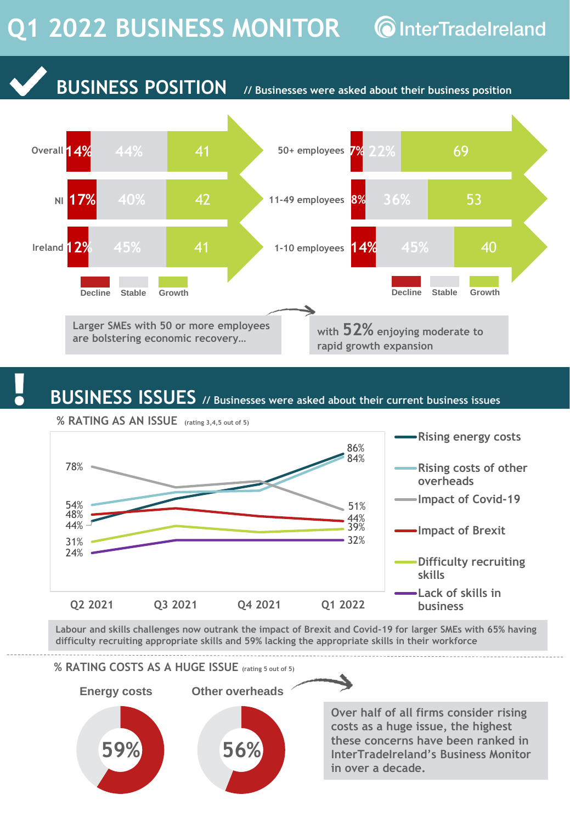## Q1 2022 BUSINESS MONITOR **C** InterTradelreland



## **BUSINESS ISSUES // Businesses were asked about their current business issues**



**Labour and skills challenges now outrank the impact of Brexit and Covid-19 for larger SMEs with 65% having difficulty recruiting appropriate skills and 59% lacking the appropriate skills in their workforce**